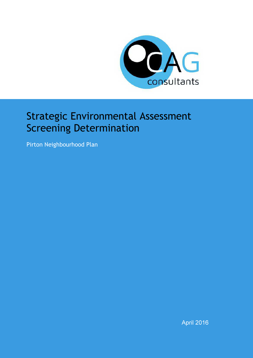

## Strategic Environmental Assessment Screening Determination

Pirton Neighbourhood Plan

April 2016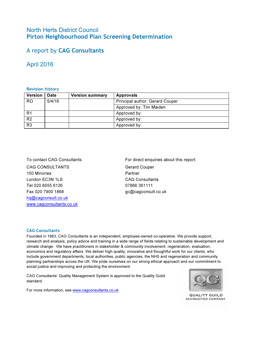#### North Herts District Council Pirton Neighbourhood Plan Screening Determination

### A report by CAG Consultants

#### April 2016

#### Revision history

| <b>Version</b> | <b>Date</b> | <b>Version summary</b> | <b>Approvals</b>                |
|----------------|-------------|------------------------|---------------------------------|
| RO.            | 5/4/16      |                        | Principal author: Gerard Couper |
|                |             |                        | Approved by: Tim Maiden         |
| R <sub>1</sub> |             |                        | Approved by:                    |
| R <sub>2</sub> |             |                        | Approved by:                    |
| R <sub>3</sub> |             |                        | Approved by:                    |

CAG CONSULTANTS 150 Minories London EC3N 1LS Tel 020 8555 6126 Fax 020 7900 1868 hq@cagconsult.co.uk www.cagconsultants.co.uk

To contact CAG Consultants: For direct enquiries about this report:

Gerard Couper Partner CAG Consultants 07866 361111 gc@cagconsult.co.uk

#### CAG Consultants

Founded in 1983, CAG Consultants is an independent, employee-owned co-operative. We provide support, research and analysis, policy advice and training in a wide range of fields relating to sustainable development and climate change. We have practitioners in stakeholder & community involvement, regeneration, evaluation, economics and regulatory affairs. We deliver high quality, innovative and thoughtful work for our clients, who include government departments, local authorities, public agencies, the NHS and regeneration and community planning partnerships across the UK. We pride ourselves on our strong ethical approach and our commitment to social justice and improving and protecting the environment.

CAG Consultants' Quality Management System is approved to the Quality Guild standard.



For more information, see www.cagconsultants.co.uk

**QUALITY GUILD ACCREDITED COMPANY**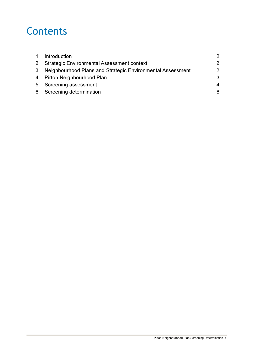# **Contents**

| 1. Introduction                                               | $\mathcal{P}$ |
|---------------------------------------------------------------|---------------|
| 2. Strategic Environmental Assessment context                 | 2             |
| 3. Neighbourhood Plans and Strategic Environmental Assessment | 2             |
| 4. Pirton Neighbourhood Plan                                  | 3             |
| 5. Screening assessment                                       | 4             |
| 6. Screening determination                                    | 6             |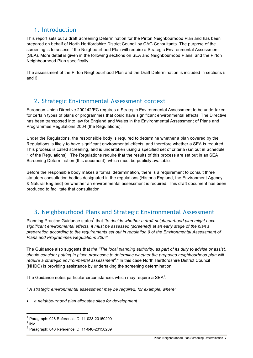### 1. Introduction

This report sets out a draft Screening Determination for the Pirton Neighbourhood Plan and has been prepared on behalf of North Hertfordshire District Council by CAG Consultants. The purpose of the screening is to assess if the Neighbourhood Plan will require a Strategic Environmental Assessment (SEA). More detail is given in the following sections on SEA and Neighbourhood Plans, and the Pirton Neighbourhood Plan specifically.

The assessment of the Pirton Neighbourhood Plan and the Draft Determination is included in sections 5 and 6.

### 2. Strategic Environmental Assessment context

European Union Directive 200142/EC requires a Strategic Environmental Assessment to be undertaken for certain types of plans or programmes that could have significant environmental effects. The Directive has been transposed into law for England and Wales in the Environmental Assessment of Plans and Programmes Regulations 2004 (the Regulations).

Under the Regulations, the responsible body is required to determine whether a plan covered by the Regulations is likely to have significant environmental effects, and therefore whether a SEA is required. This process is called screening, and is undertaken using a specified set of criteria (set out in Schedule 1 of the Regulations). The Regulations require that the results of this process are set out in an SEA Screening Determination (this document), which must be publicly available.

Before the responsible body makes a formal determination, there is a requirement to consult three statutory consultation bodies designated in the regulations (Historic England, the Environment Agency & Natural England) on whether an environmental assessment is required. This draft document has been produced to facilitate that consultation.

## 3. Neighbourhood Plans and Strategic Environmental Assessment

Planning Practice Guidance states<sup>1</sup> that "to decide whether a draft neighbourhood plan might have significant environmental effects, it must be assessed (screened) at an early stage of the plan's preparation according to the requirements set out in regulation 9 of the Environmental Assessment of Plans and Programmes Regulations 2004" .

The Guidance also suggests that the "The local planning authority, as part of its duty to advise or assist, should consider putting in place processes to determine whether the proposed neighbourhood plan will require a strategic environmental assessment<sup>2</sup>." In this case North Hertfordshire District Council (NHDC) is providing assistance by undertaking the screening determination.

The Guidance notes particular circumstances which may require a SEA $^3$ :

" A strategic environmental assessment may be required, for example, where:

a neighbourhood plan allocates sites for development

 1 Paragraph: 028 Reference ID: 11-028-20150209

 $2$  ibid

 $3$  Paragraph: 046 Reference ID: 11-046-20150209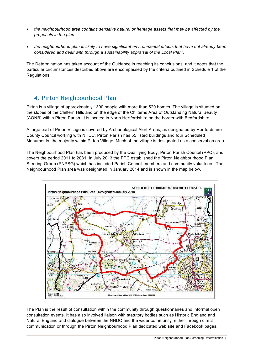- the neighbourhood area contains sensitive natural or heritage assets that may be affected by the proposals in the plan
- the neighbourhood plan is likely to have significant environmental effects that have not already been considered and dealt with through a sustainability appraisal of the Local Plan".

The Determination has taken account of the Guidance in reaching its conclusions, and it notes that the particular circumstances described above are encompassed by the criteria outlined in Schedule 1 of the Regulations.

### 4. Pirton Neighbourhood Plan

Pirton is a village of approximately 1300 people with more than 520 homes. The village is situated on the slopes of the Chiltern Hills and on the edge of the Chilterns Area of Outstanding Natural Beauty (AONB) within Pirton Parish. It is located in North Hertfordshire on the border with Bedfordshire.

A large part of Pirton Village is covered by Archaeological Alert Areas, as designated by Hertfordshire County Council working with NHDC. Pirton Parish has 55 listed buildings and four Scheduled Monuments, the majority within Pirton Village. Much of the village is designated as a conservation area.

The Neighbourhood Plan has been produced by the Qualifying Body, Pirton Parish Council (PPC), and covers the period 2011 to 2031. In July 2013 the PPC established the Pirton Neighbourhood Plan Steering Group (PNPSG) which has included Parish Council members and community volunteers. The Neighbourhood Plan area was designated in January 2014 and is shown in the map below.



The Plan is the result of consultation within the community through questionnaires and informal open consultation events. It has also involved liaison with statutory bodies such as Historic England and Natural England and dialogue between the NHDC and the wider community, either through direct communication or through the Pirton Neighbourhood Plan dedicated web site and Facebook pages.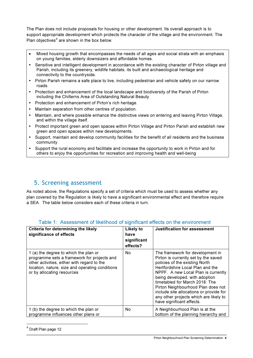The Plan does not include proposals for housing or other development. Its overall approach is to support appropriate development which protects the character of the village and the environment. The Plan objectives $4$  are shown in the box below.

- Mixed housing growth that encompasses the needs of all ages and social strata with an emphasis on young families, elderly downsizers and affordable homes.
- Sensitive and intelligent development in accordance with the existing character of Pirton village and Parish, including its greenery, wildlife habitats, its built and archaeological heritage and connectivity to the countryside.
- Pirton Parish remains a safe place to live, including pedestrian and vehicle safety on our narrow roads.
- Protection and enhancement of the local landscape and biodiversity of the Parish of Pirton including the Chilterns Area of Outstanding Natural Beauty.
- Protection and enhancement of Pirton's rich heritage.
- Maintain separation from other centres of population.
- Maintain, and where possible enhance the distinctive views on entering and leaving Pirton Village, and within the village itself.
- Protect important green and open spaces within Pirton Village and Pirton Parish and establish new green and open spaces within new developments.
- Support, maintain and develop community facilities for the benefit of all residents and the business community.
- Support the rural economy and facilitate and increase the opportunity to work in Pirton and for others to enjoy the opportunities for recreation and improving health and well-being

#### 5. Screening assessment

As noted above, the Regulations specify a set of criteria which must be used to assess whether any plan covered by the Regulation is likely to have a significant environmental effect and therefore require a SEA. The table below considers each of these criteria in turn.

| Criteria for determining the likely<br>significance of effects                                                                                                                                                       | <b>Likely to</b><br>have<br>significant<br>effects? | <b>Justification for assessment</b>                                                                                                                                                                                                                                                                                                                                                                               |
|----------------------------------------------------------------------------------------------------------------------------------------------------------------------------------------------------------------------|-----------------------------------------------------|-------------------------------------------------------------------------------------------------------------------------------------------------------------------------------------------------------------------------------------------------------------------------------------------------------------------------------------------------------------------------------------------------------------------|
| 1 (a) the degree to which the plan or<br>programme sets a framework for projects and<br>other activities, either with regard to the<br>location, nature, size and operating conditions<br>or by allocating resources | No.                                                 | The framework for development in<br>Pirton is currently set by the saved<br>policies of the existing North<br>Hertfordshire Local Plan and the<br>NPPF. A new Local Plan is currently<br>being developed, with adoption<br>timetabled for March 2018. The<br>Pirton Neighbourhood Plan does not<br>include site allocations or provide for<br>any other projects which are likely to<br>have significant effects. |
| 1 (b) the degree to which the plan or<br>programme influences other plans or                                                                                                                                         | No                                                  | A Neighbourhood Plan is at the<br>bottom of the planning hierarchy and                                                                                                                                                                                                                                                                                                                                            |

#### Table 1: Assessment of likelihood of significant effects on the environment

 $\overline{a}$ 

<sup>&</sup>lt;sup>4</sup> Draft Plan page 12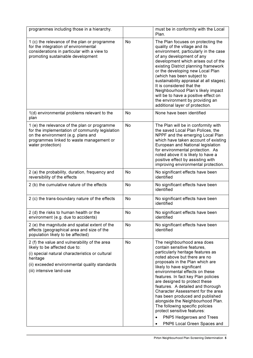| programmes including those in a hierarchy.                                                                                                                                                                                 |           | must be in conformity with the Local<br>Plan.                                                                                                                                                                                                                                                                                                                                                                                                                                                                                                                                             |
|----------------------------------------------------------------------------------------------------------------------------------------------------------------------------------------------------------------------------|-----------|-------------------------------------------------------------------------------------------------------------------------------------------------------------------------------------------------------------------------------------------------------------------------------------------------------------------------------------------------------------------------------------------------------------------------------------------------------------------------------------------------------------------------------------------------------------------------------------------|
| 1 (c) the relevance of the plan or programme<br>for the integration of environmental<br>considerations in particular with a view to<br>promoting sustainable development                                                   | No        | The Plan focuses on protecting the<br>quality of the village and its<br>environment, particularly in the case<br>of any development of any<br>development which arises out of the<br>existing District planning framework<br>or the developing new Local Plan<br>(which has been subject to<br>sustainability appraisal at all stages).<br>It is considered that the<br>Neighbourhood Plan's likely impact<br>will be to have a positive effect on<br>the environment by providing an<br>additional layer of protection.                                                                  |
| 1(d) environmental problems relevant to the<br>plan                                                                                                                                                                        | No        | None have been identified                                                                                                                                                                                                                                                                                                                                                                                                                                                                                                                                                                 |
| 1 (e) the relevance of the plan or programme<br>for the implementation of community legislation<br>on the environment (e.g. plans and<br>programmes linked to waste management or<br>water protection)                     | <b>No</b> | The Plan will be in conformity with<br>the saved Local Plan Polices, the<br>NPPF and the emerging Local Plan<br>which have taken account of existing<br>European and National legislation<br>for environmental protection. As<br>noted above it is likely to have a<br>positive effect by assisting with<br>improving environmental protection.                                                                                                                                                                                                                                           |
| 2 (a) the probability, duration, frequency and<br>reversibility of the effects                                                                                                                                             | No        | No significant effects have been<br>identified                                                                                                                                                                                                                                                                                                                                                                                                                                                                                                                                            |
| 2 (b) the cumulative nature of the effects                                                                                                                                                                                 | No        | No significant effects have been<br>identified                                                                                                                                                                                                                                                                                                                                                                                                                                                                                                                                            |
| 2 (c) the trans-boundary nature of the effects                                                                                                                                                                             | No        | No significant effects have been<br>identified                                                                                                                                                                                                                                                                                                                                                                                                                                                                                                                                            |
| 2 (d) the risks to human health or the<br>environment (e.g. due to accidents)                                                                                                                                              | No        | No significant effects have been<br>identified                                                                                                                                                                                                                                                                                                                                                                                                                                                                                                                                            |
| 2 (e) the magnitude and spatial extent of the<br>effects (geographical area and size of the<br>population likely to be affected)                                                                                           | No        | No significant effects have been<br>identified                                                                                                                                                                                                                                                                                                                                                                                                                                                                                                                                            |
| 2 (f) the value and vulnerability of the area<br>likely to be affected due to:<br>(i) special natural characteristics or cultural<br>heritage<br>(ii) exceeded environmental quality standards<br>(iii) intensive land-use | No        | The neighbourhood area does<br>contain sensitive features,<br>particularly heritage features as<br>noted above but there are no<br>proposals in the Plan which are<br>likely to have significant<br>environmental effects on these<br>features. In fact key Plan policies<br>are designed to protect these<br>features. A detailed and thorough<br>Character Assessment for the area<br>has been produced and published<br>alongside the Neighbourhood Plan.<br>The following specific policies<br>protect sensitive features:<br>PNP5 Hedgerows and Trees<br>PNP6 Local Green Spaces and |